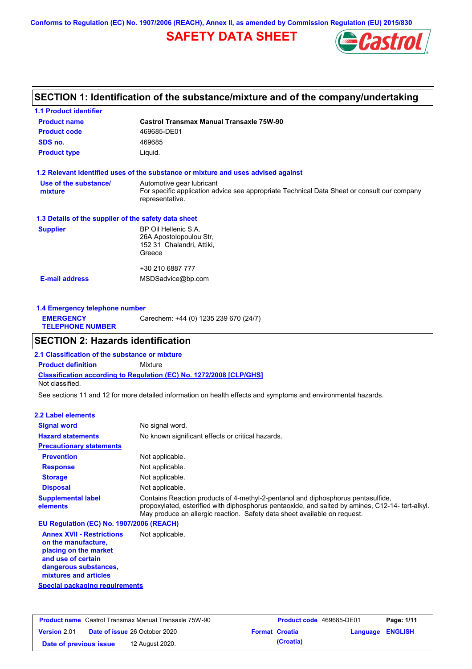**Conforms to Regulation (EC) No. 1907/2006 (REACH), Annex II, as amended by Commission Regulation (EU) 2015/830**

# **SAFETY DATA SHEET**



## **SECTION 1: Identification of the substance/mixture and of the company/undertaking**

| <b>1.1 Product identifier</b>                        |                                                                                                                                             |
|------------------------------------------------------|---------------------------------------------------------------------------------------------------------------------------------------------|
| <b>Product name</b>                                  | Castrol Transmax Manual Transaxle 75W-90                                                                                                    |
| <b>Product code</b>                                  | 469685-DE01                                                                                                                                 |
| SDS no.                                              | 469685                                                                                                                                      |
| <b>Product type</b>                                  | Liquid.                                                                                                                                     |
|                                                      | 1.2 Relevant identified uses of the substance or mixture and uses advised against                                                           |
| Use of the substance/<br>mixture                     | Automotive gear lubricant<br>For specific application advice see appropriate Technical Data Sheet or consult our company<br>representative. |
| 1.3 Details of the supplier of the safety data sheet |                                                                                                                                             |
| <b>Supplier</b>                                      | BP Oil Hellenic S.A.<br>26A Apostolopoulou Str,<br>152 31 Chalandri, Attiki,<br>Greece                                                      |
|                                                      | +30 210 6887 777                                                                                                                            |
| <b>E-mail address</b>                                | MSDSadvice@bp.com                                                                                                                           |
|                                                      |                                                                                                                                             |

| Carechem: +44 (0) 1235 239 670 (24/7)<br><b>EMERGENCY</b><br><b>TELEPHONE NUMBER</b> | 1.4 Emergency telephone number |  |  |  |  |
|--------------------------------------------------------------------------------------|--------------------------------|--|--|--|--|
|                                                                                      |                                |  |  |  |  |

## **SECTION 2: Hazards identification**

**Classification according to Regulation (EC) No. 1272/2008 [CLP/GHS] 2.1 Classification of the substance or mixture Product definition** Mixture Not classified.

See sections 11 and 12 for more detailed information on health effects and symptoms and environmental hazards.

### **2.2 Label elements**

| <b>Signal word</b>                       | No signal word.                                                                                                                                                                                                                                                   |
|------------------------------------------|-------------------------------------------------------------------------------------------------------------------------------------------------------------------------------------------------------------------------------------------------------------------|
| <b>Hazard statements</b>                 | No known significant effects or critical hazards.                                                                                                                                                                                                                 |
| <b>Precautionary statements</b>          |                                                                                                                                                                                                                                                                   |
| <b>Prevention</b>                        | Not applicable.                                                                                                                                                                                                                                                   |
| <b>Response</b>                          | Not applicable.                                                                                                                                                                                                                                                   |
| <b>Storage</b>                           | Not applicable.                                                                                                                                                                                                                                                   |
| <b>Disposal</b>                          | Not applicable.                                                                                                                                                                                                                                                   |
| <b>Supplemental label</b><br>elements    | Contains Reaction products of 4-methyl-2-pentanol and diphosphorus pentasulfide,<br>propoxylated, esterified with diphosphorus pentaoxide, and salted by amines, C12-14- tert-alkyl.<br>May produce an allergic reaction. Safety data sheet available on reguest. |
| EU Regulation (EC) No. 1907/2006 (REACH) |                                                                                                                                                                                                                                                                   |
| <b>Annex XVII - Restrictions</b>         | Not applicable.                                                                                                                                                                                                                                                   |

**Annex XVII - Restrictions on the manufacture, placing on the market and use of certain dangerous substances, mixtures and articles**

**Special packaging requirements**

| <b>Product name</b> Castrol Transmax Manual Transaxle 75W-90 |                                      | <b>Product code</b> 469685-DE01 |                       | Page: 1/11              |  |
|--------------------------------------------------------------|--------------------------------------|---------------------------------|-----------------------|-------------------------|--|
| <b>Version 2.01</b>                                          | <b>Date of issue 26 October 2020</b> |                                 | <b>Format Croatia</b> | <b>Language ENGLISH</b> |  |
| Date of previous issue                                       | 12 August 2020.                      |                                 | (Croatia)             |                         |  |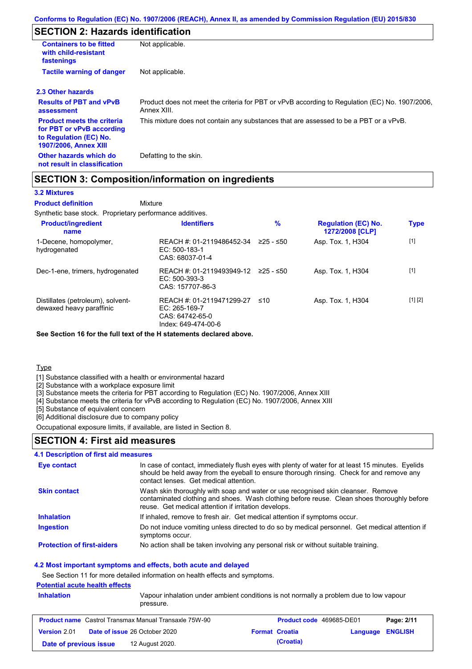# **SECTION 2: Hazards identification**

| <b>Containers to be fitted</b><br>with child-resistant<br>fastenings                                                     | Not applicable.                                                                                               |
|--------------------------------------------------------------------------------------------------------------------------|---------------------------------------------------------------------------------------------------------------|
| <b>Tactile warning of danger</b>                                                                                         | Not applicable.                                                                                               |
| 2.3 Other hazards                                                                                                        |                                                                                                               |
| <b>Results of PBT and vPvB</b><br>assessment                                                                             | Product does not meet the criteria for PBT or vPvB according to Regulation (EC) No. 1907/2006,<br>Annex XIII. |
| <b>Product meets the criteria</b><br>for PBT or vPvB according<br>to Regulation (EC) No.<br><b>1907/2006, Annex XIII</b> | This mixture does not contain any substances that are assessed to be a PBT or a vPvB.                         |
| Other hazards which do<br>not result in classification                                                                   | Defatting to the skin.                                                                                        |

### **SECTION 3: Composition/information on ingredients**

Mixture

#### **3.2 Mixtures**

**Product definition**

Synthetic base stock. Proprietary performance additives.

| <b>Product/ingredient</b><br>name                             | <b>Identifiers</b>                                                                   | $\%$      | <b>Regulation (EC) No.</b><br>1272/2008 [CLP] | <b>Type</b> |
|---------------------------------------------------------------|--------------------------------------------------------------------------------------|-----------|-----------------------------------------------|-------------|
| 1-Decene, homopolymer,<br>hydrogenated                        | REACH #: 01-2119486452-34<br>EC: 500-183-1<br>CAS: 68037-01-4                        | ≥25 - ≤50 | Asp. Tox. 1, H304                             | $[1]$       |
| Dec-1-ene, trimers, hydrogenated                              | REACH #: 01-2119493949-12<br>EC: 500-393-3<br>CAS: 157707-86-3                       | 225 - ≤50 | Asp. Tox. 1, H304                             | $[1]$       |
| Distillates (petroleum), solvent-<br>dewaxed heavy paraffinic | REACH #: 01-2119471299-27<br>EC: 265-169-7<br>CAS: 64742-65-0<br>Index: 649-474-00-6 | ≤10       | Asp. Tox. 1, H304                             | [1] [2]     |

**See Section 16 for the full text of the H statements declared above.**

**Type** 

[1] Substance classified with a health or environmental hazard

[2] Substance with a workplace exposure limit

[3] Substance meets the criteria for PBT according to Regulation (EC) No. 1907/2006, Annex XIII

[4] Substance meets the criteria for vPvB according to Regulation (EC) No. 1907/2006, Annex XIII

[5] Substance of equivalent concern

[6] Additional disclosure due to company policy

Occupational exposure limits, if available, are listed in Section 8.

### **SECTION 4: First aid measures**

### **4.1 Description of first aid measures**

| Eye contact                       | In case of contact, immediately flush eyes with plenty of water for at least 15 minutes. Eyelids<br>should be held away from the eyeball to ensure thorough rinsing. Check for and remove any<br>contact lenses. Get medical attention. |
|-----------------------------------|-----------------------------------------------------------------------------------------------------------------------------------------------------------------------------------------------------------------------------------------|
| <b>Skin contact</b>               | Wash skin thoroughly with soap and water or use recognised skin cleanser. Remove<br>contaminated clothing and shoes. Wash clothing before reuse. Clean shoes thoroughly before<br>reuse. Get medical attention if irritation develops.  |
| <b>Inhalation</b>                 | If inhaled, remove to fresh air. Get medical attention if symptoms occur.                                                                                                                                                               |
| <b>Ingestion</b>                  | Do not induce vomiting unless directed to do so by medical personnel. Get medical attention if<br>symptoms occur.                                                                                                                       |
| <b>Protection of first-aiders</b> | No action shall be taken involving any personal risk or without suitable training.                                                                                                                                                      |

#### **4.2 Most important symptoms and effects, both acute and delayed**

See Section 11 for more detailed information on health effects and symptoms.

### **Potential acute health effects**

| <b>Inhalation</b><br>Vapour inhalation under ambient conditions is not normally a problem due to low vapour<br>pressure. |                                                              |  |                                 |                         |            |
|--------------------------------------------------------------------------------------------------------------------------|--------------------------------------------------------------|--|---------------------------------|-------------------------|------------|
|                                                                                                                          | <b>Product name</b> Castrol Transmax Manual Transaxle 75W-90 |  | <b>Product code</b> 469685-DE01 |                         | Page: 2/11 |
| <b>Version 2.01</b>                                                                                                      | <b>Date of issue 26 October 2020</b>                         |  | <b>Format Croatia</b>           | <b>Language ENGLISH</b> |            |
| Date of previous issue                                                                                                   | 12 August 2020.                                              |  | (Croatia)                       |                         |            |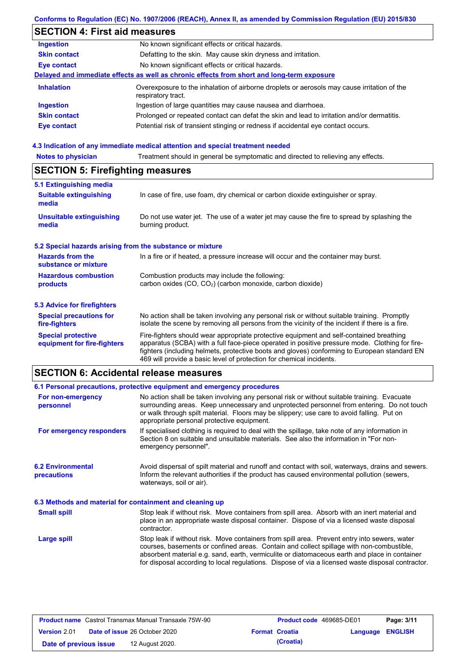## **Conforms to Regulation (EC) No. 1907/2006 (REACH), Annex II, as amended by Commission Regulation (EU) 2015/830**

# **SECTION 4: First aid measures**

| <b>Ingestion</b>    | No known significant effects or critical hazards.                                                                 |
|---------------------|-------------------------------------------------------------------------------------------------------------------|
| <b>Skin contact</b> | Defatting to the skin. May cause skin dryness and irritation.                                                     |
| <b>Eye contact</b>  | No known significant effects or critical hazards.                                                                 |
|                     | Delayed and immediate effects as well as chronic effects from short and long-term exposure                        |
| <b>Inhalation</b>   | Overexposure to the inhalation of airborne droplets or aerosols may cause irritation of the<br>respiratory tract. |
| <b>Ingestion</b>    | Ingestion of large quantities may cause nausea and diarrhoea.                                                     |
| <b>Skin contact</b> | Prolonged or repeated contact can defat the skin and lead to irritation and/or dermatitis.                        |
| Eye contact         | Potential risk of transient stinging or redness if accidental eye contact occurs.                                 |
|                     |                                                                                                                   |

### **4.3 Indication of any immediate medical attention and special treatment needed**

| <b>Notes to physician</b>                                 | Treatment should in general be symptomatic and directed to relieving any effects.                                                                                                                                                                                                                                                                                 |  |  |  |
|-----------------------------------------------------------|-------------------------------------------------------------------------------------------------------------------------------------------------------------------------------------------------------------------------------------------------------------------------------------------------------------------------------------------------------------------|--|--|--|
| <b>SECTION 5: Firefighting measures</b>                   |                                                                                                                                                                                                                                                                                                                                                                   |  |  |  |
| 5.1 Extinguishing media                                   |                                                                                                                                                                                                                                                                                                                                                                   |  |  |  |
| <b>Suitable extinguishing</b><br>media                    | In case of fire, use foam, dry chemical or carbon dioxide extinguisher or spray.                                                                                                                                                                                                                                                                                  |  |  |  |
| <b>Unsuitable extinguishing</b><br>media                  | Do not use water jet. The use of a water jet may cause the fire to spread by splashing the<br>burning product.                                                                                                                                                                                                                                                    |  |  |  |
| 5.2 Special hazards arising from the substance or mixture |                                                                                                                                                                                                                                                                                                                                                                   |  |  |  |
| <b>Hazards from the</b><br>substance or mixture           | In a fire or if heated, a pressure increase will occur and the container may burst.                                                                                                                                                                                                                                                                               |  |  |  |
| <b>Hazardous combustion</b>                               | Combustion products may include the following:                                                                                                                                                                                                                                                                                                                    |  |  |  |
| products                                                  | carbon oxides (CO, CO <sub>2</sub> ) (carbon monoxide, carbon dioxide)                                                                                                                                                                                                                                                                                            |  |  |  |
| <b>5.3 Advice for firefighters</b>                        |                                                                                                                                                                                                                                                                                                                                                                   |  |  |  |
| <b>Special precautions for</b><br>fire-fighters           | No action shall be taken involving any personal risk or without suitable training. Promptly<br>isolate the scene by removing all persons from the vicinity of the incident if there is a fire.                                                                                                                                                                    |  |  |  |
| <b>Special protective</b><br>equipment for fire-fighters  | Fire-fighters should wear appropriate protective equipment and self-contained breathing<br>apparatus (SCBA) with a full face-piece operated in positive pressure mode. Clothing for fire-<br>fighters (including helmets, protective boots and gloves) conforming to European standard EN<br>469 will provide a basic level of protection for chemical incidents. |  |  |  |

# **SECTION 6: Accidental release measures**

|                                                          | 6.1 Personal precautions, protective equipment and emergency procedures                                                                                                                                                                                                                                                                                                                        |
|----------------------------------------------------------|------------------------------------------------------------------------------------------------------------------------------------------------------------------------------------------------------------------------------------------------------------------------------------------------------------------------------------------------------------------------------------------------|
| For non-emergency<br>personnel                           | No action shall be taken involving any personal risk or without suitable training. Evacuate<br>surrounding areas. Keep unnecessary and unprotected personnel from entering. Do not touch<br>or walk through spilt material. Floors may be slippery; use care to avoid falling. Put on<br>appropriate personal protective equipment.                                                            |
| For emergency responders                                 | If specialised clothing is required to deal with the spillage, take note of any information in<br>Section 8 on suitable and unsuitable materials. See also the information in "For non-<br>emergency personnel".                                                                                                                                                                               |
| <b>6.2 Environmental</b><br><b>precautions</b>           | Avoid dispersal of spilt material and runoff and contact with soil, waterways, drains and sewers.<br>Inform the relevant authorities if the product has caused environmental pollution (sewers,<br>waterways, soil or air).                                                                                                                                                                    |
| 6.3 Methods and material for containment and cleaning up |                                                                                                                                                                                                                                                                                                                                                                                                |
| <b>Small spill</b>                                       | Stop leak if without risk. Move containers from spill area. Absorb with an inert material and<br>place in an appropriate waste disposal container. Dispose of via a licensed waste disposal<br>contractor.                                                                                                                                                                                     |
| <b>Large spill</b>                                       | Stop leak if without risk. Move containers from spill area. Prevent entry into sewers, water<br>courses, basements or confined areas. Contain and collect spillage with non-combustible,<br>absorbent material e.g. sand, earth, vermiculite or diatomaceous earth and place in container<br>for disposal according to local regulations. Dispose of via a licensed waste disposal contractor. |

| <b>Product name</b> Castrol Transmax Manual Transaxle 75W-90 |  | <b>Product code</b> 469685-DE01      |  | Page: 3/11            |                         |  |
|--------------------------------------------------------------|--|--------------------------------------|--|-----------------------|-------------------------|--|
| <b>Version 2.01</b>                                          |  | <b>Date of issue 26 October 2020</b> |  | <b>Format Croatia</b> | <b>Language ENGLISH</b> |  |
| Date of previous issue                                       |  | 12 August 2020.                      |  | (Croatia)             |                         |  |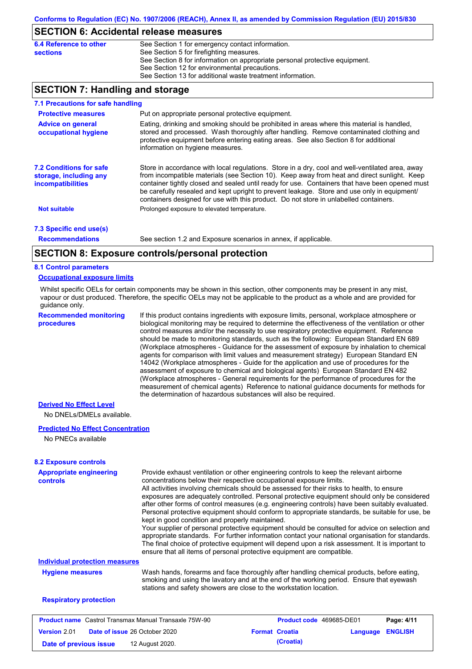### **SECTION 6: Accidental release measures**

| 6.4 Reference to other | See Section 1 for emergency contact information.                            |
|------------------------|-----------------------------------------------------------------------------|
| sections               | See Section 5 for firefighting measures.                                    |
|                        | See Section 8 for information on appropriate personal protective equipment. |
|                        | See Section 12 for environmental precautions.                               |
|                        | See Section 13 for additional waste treatment information.                  |
|                        |                                                                             |

## **SECTION 7: Handling and storage**

| 7.1 Precautions for safe handling                                                    |                                                                                                                                                                                                                                                                                                                                                                                                                                                                                          |
|--------------------------------------------------------------------------------------|------------------------------------------------------------------------------------------------------------------------------------------------------------------------------------------------------------------------------------------------------------------------------------------------------------------------------------------------------------------------------------------------------------------------------------------------------------------------------------------|
| <b>Protective measures</b>                                                           | Put on appropriate personal protective equipment.                                                                                                                                                                                                                                                                                                                                                                                                                                        |
| <b>Advice on general</b><br>occupational hygiene                                     | Eating, drinking and smoking should be prohibited in areas where this material is handled.<br>stored and processed. Wash thoroughly after handling. Remove contaminated clothing and<br>protective equipment before entering eating areas. See also Section 8 for additional<br>information on hygiene measures.                                                                                                                                                                         |
| <b>7.2 Conditions for safe</b><br>storage, including any<br><i>incompatibilities</i> | Store in accordance with local requiations. Store in a dry, cool and well-ventilated area, away<br>from incompatible materials (see Section 10). Keep away from heat and direct sunlight. Keep<br>container tightly closed and sealed until ready for use. Containers that have been opened must<br>be carefully resealed and kept upright to prevent leakage. Store and use only in equipment/<br>containers designed for use with this product. Do not store in unlabelled containers. |
| <b>Not suitable</b>                                                                  | Prolonged exposure to elevated temperature.                                                                                                                                                                                                                                                                                                                                                                                                                                              |
| 7.3 Specific end use(s)                                                              |                                                                                                                                                                                                                                                                                                                                                                                                                                                                                          |
| <b>Recommendations</b>                                                               | See section 1.2 and Exposure scenarios in annex, if applicable.                                                                                                                                                                                                                                                                                                                                                                                                                          |
|                                                                                      | CECTICH 0. Evening controlate and probable attack                                                                                                                                                                                                                                                                                                                                                                                                                                        |

### **SECTION 8: Exposure controls/personal protection**

#### **8.1 Control parameters**

#### **Occupational exposure limits**

Whilst specific OELs for certain components may be shown in this section, other components may be present in any mist, vapour or dust produced. Therefore, the specific OELs may not be applicable to the product as a whole and are provided for guidance only.

**Recommended monitoring procedures**

If this product contains ingredients with exposure limits, personal, workplace atmosphere or biological monitoring may be required to determine the effectiveness of the ventilation or other control measures and/or the necessity to use respiratory protective equipment. Reference should be made to monitoring standards, such as the following: European Standard EN 689 (Workplace atmospheres - Guidance for the assessment of exposure by inhalation to chemical agents for comparison with limit values and measurement strategy) European Standard EN 14042 (Workplace atmospheres - Guide for the application and use of procedures for the assessment of exposure to chemical and biological agents) European Standard EN 482 (Workplace atmospheres - General requirements for the performance of procedures for the measurement of chemical agents) Reference to national guidance documents for methods for the determination of hazardous substances will also be required.

### **Derived No Effect Level**

No DNELs/DMELs available.

#### **Predicted No Effect Concentration**

No PNECs available

| <b>Appropriate engineering</b><br><b>controls</b>            | Provide exhaust ventilation or other engineering controls to keep the relevant airborne<br>concentrations below their respective occupational exposure limits.<br>All activities involving chemicals should be assessed for their risks to health, to ensure<br>exposures are adequately controlled. Personal protective equipment should only be considered<br>after other forms of control measures (e.g. engineering controls) have been suitably evaluated.<br>Personal protective equipment should conform to appropriate standards, be suitable for use, be<br>kept in good condition and properly maintained.<br>Your supplier of personal protective equipment should be consulted for advice on selection and<br>appropriate standards. For further information contact your national organisation for standards.<br>The final choice of protective equipment will depend upon a risk assessment. It is important to<br>ensure that all items of personal protective equipment are compatible. |                          |          |                |
|--------------------------------------------------------------|---------------------------------------------------------------------------------------------------------------------------------------------------------------------------------------------------------------------------------------------------------------------------------------------------------------------------------------------------------------------------------------------------------------------------------------------------------------------------------------------------------------------------------------------------------------------------------------------------------------------------------------------------------------------------------------------------------------------------------------------------------------------------------------------------------------------------------------------------------------------------------------------------------------------------------------------------------------------------------------------------------|--------------------------|----------|----------------|
| <b>Individual protection measures</b>                        |                                                                                                                                                                                                                                                                                                                                                                                                                                                                                                                                                                                                                                                                                                                                                                                                                                                                                                                                                                                                         |                          |          |                |
| <b>Hygiene measures</b>                                      | Wash hands, forearms and face thoroughly after handling chemical products, before eating,<br>smoking and using the lavatory and at the end of the working period. Ensure that eyewash<br>stations and safety showers are close to the workstation location.                                                                                                                                                                                                                                                                                                                                                                                                                                                                                                                                                                                                                                                                                                                                             |                          |          |                |
| <b>Respiratory protection</b>                                |                                                                                                                                                                                                                                                                                                                                                                                                                                                                                                                                                                                                                                                                                                                                                                                                                                                                                                                                                                                                         |                          |          |                |
| <b>Product name</b> Castrol Transmax Manual Transaxle 75W-90 |                                                                                                                                                                                                                                                                                                                                                                                                                                                                                                                                                                                                                                                                                                                                                                                                                                                                                                                                                                                                         | Product code 469685-DE01 |          | Page: 4/11     |
| <b>Version 2.01</b>                                          | <b>Date of issue 26 October 2020</b>                                                                                                                                                                                                                                                                                                                                                                                                                                                                                                                                                                                                                                                                                                                                                                                                                                                                                                                                                                    | <b>Format Croatia</b>    | Language | <b>ENGLISH</b> |

**Date of previous issue (Croatia)** 12 August 2020.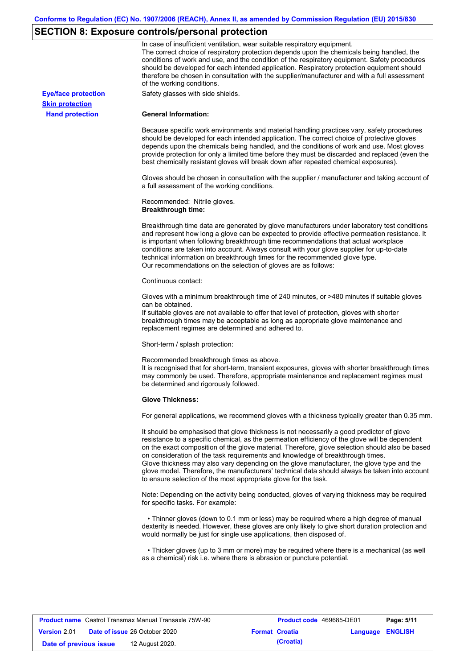# **SECTION 8: Exposure controls/personal protection**

|                            | In case of insufficient ventilation, wear suitable respiratory equipment.<br>The correct choice of respiratory protection depends upon the chemicals being handled, the<br>conditions of work and use, and the condition of the respiratory equipment. Safety procedures<br>should be developed for each intended application. Respiratory protection equipment should<br>therefore be chosen in consultation with the supplier/manufacturer and with a full assessment<br>of the working conditions.                                                                                                                                             |
|----------------------------|---------------------------------------------------------------------------------------------------------------------------------------------------------------------------------------------------------------------------------------------------------------------------------------------------------------------------------------------------------------------------------------------------------------------------------------------------------------------------------------------------------------------------------------------------------------------------------------------------------------------------------------------------|
| <b>Eye/face protection</b> | Safety glasses with side shields.                                                                                                                                                                                                                                                                                                                                                                                                                                                                                                                                                                                                                 |
| <b>Skin protection</b>     |                                                                                                                                                                                                                                                                                                                                                                                                                                                                                                                                                                                                                                                   |
| <b>Hand protection</b>     | <b>General Information:</b>                                                                                                                                                                                                                                                                                                                                                                                                                                                                                                                                                                                                                       |
|                            | Because specific work environments and material handling practices vary, safety procedures<br>should be developed for each intended application. The correct choice of protective gloves<br>depends upon the chemicals being handled, and the conditions of work and use. Most gloves<br>provide protection for only a limited time before they must be discarded and replaced (even the<br>best chemically resistant gloves will break down after repeated chemical exposures).                                                                                                                                                                  |
|                            | Gloves should be chosen in consultation with the supplier / manufacturer and taking account of<br>a full assessment of the working conditions.                                                                                                                                                                                                                                                                                                                                                                                                                                                                                                    |
|                            | Recommended: Nitrile gloves.<br><b>Breakthrough time:</b>                                                                                                                                                                                                                                                                                                                                                                                                                                                                                                                                                                                         |
|                            | Breakthrough time data are generated by glove manufacturers under laboratory test conditions<br>and represent how long a glove can be expected to provide effective permeation resistance. It<br>is important when following breakthrough time recommendations that actual workplace<br>conditions are taken into account. Always consult with your glove supplier for up-to-date<br>technical information on breakthrough times for the recommended glove type.<br>Our recommendations on the selection of gloves are as follows:                                                                                                                |
|                            | Continuous contact:                                                                                                                                                                                                                                                                                                                                                                                                                                                                                                                                                                                                                               |
|                            | Gloves with a minimum breakthrough time of 240 minutes, or >480 minutes if suitable gloves<br>can be obtained.                                                                                                                                                                                                                                                                                                                                                                                                                                                                                                                                    |
|                            | If suitable gloves are not available to offer that level of protection, gloves with shorter<br>breakthrough times may be acceptable as long as appropriate glove maintenance and<br>replacement regimes are determined and adhered to.                                                                                                                                                                                                                                                                                                                                                                                                            |
|                            | Short-term / splash protection:                                                                                                                                                                                                                                                                                                                                                                                                                                                                                                                                                                                                                   |
|                            | Recommended breakthrough times as above.<br>It is recognised that for short-term, transient exposures, gloves with shorter breakthrough times<br>may commonly be used. Therefore, appropriate maintenance and replacement regimes must<br>be determined and rigorously followed.                                                                                                                                                                                                                                                                                                                                                                  |
|                            | <b>Glove Thickness:</b>                                                                                                                                                                                                                                                                                                                                                                                                                                                                                                                                                                                                                           |
|                            | For general applications, we recommend gloves with a thickness typically greater than 0.35 mm.                                                                                                                                                                                                                                                                                                                                                                                                                                                                                                                                                    |
|                            | It should be emphasised that glove thickness is not necessarily a good predictor of glove<br>resistance to a specific chemical, as the permeation efficiency of the glove will be dependent<br>on the exact composition of the glove material. Therefore, glove selection should also be based<br>on consideration of the task requirements and knowledge of breakthrough times.<br>Glove thickness may also vary depending on the glove manufacturer, the glove type and the<br>glove model. Therefore, the manufacturers' technical data should always be taken into account<br>to ensure selection of the most appropriate glove for the task. |
|                            | Note: Depending on the activity being conducted, gloves of varying thickness may be required<br>for specific tasks. For example:                                                                                                                                                                                                                                                                                                                                                                                                                                                                                                                  |
|                            | • Thinner gloves (down to 0.1 mm or less) may be required where a high degree of manual<br>dexterity is needed. However, these gloves are only likely to give short duration protection and<br>would normally be just for single use applications, then disposed of.                                                                                                                                                                                                                                                                                                                                                                              |
|                            | • Thicker gloves (up to 3 mm or more) may be required where there is a mechanical (as well<br>as a chemical) risk i.e. where there is abrasion or puncture potential.                                                                                                                                                                                                                                                                                                                                                                                                                                                                             |

| <b>Product name</b> Castrol Transmax Manual Transaxle 75W-90 |  | <b>Product code</b> 469685-DE01      |  | Page: 5/11            |                         |  |
|--------------------------------------------------------------|--|--------------------------------------|--|-----------------------|-------------------------|--|
| Version 2.01                                                 |  | <b>Date of issue 26 October 2020</b> |  | <b>Format Croatia</b> | <b>Language ENGLISH</b> |  |
| Date of previous issue                                       |  | 12 August 2020.                      |  | (Croatia)             |                         |  |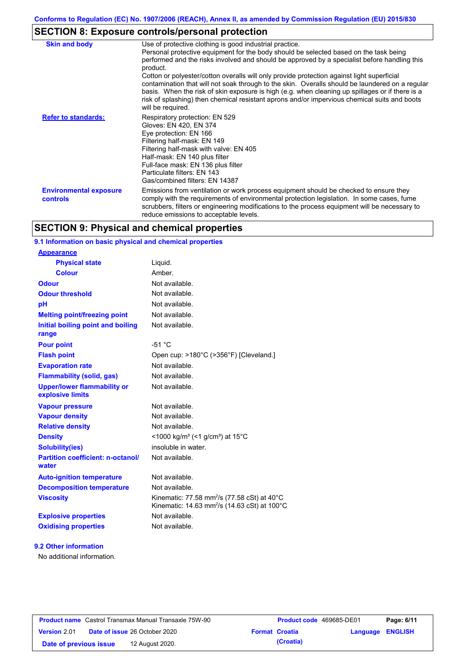# **SECTION 8: Exposure controls/personal protection**

| <b>Skin and body</b>                      | Use of protective clothing is good industrial practice.                                                                                                                                                                                                                                                                                                                                                               |
|-------------------------------------------|-----------------------------------------------------------------------------------------------------------------------------------------------------------------------------------------------------------------------------------------------------------------------------------------------------------------------------------------------------------------------------------------------------------------------|
|                                           | Personal protective equipment for the body should be selected based on the task being<br>performed and the risks involved and should be approved by a specialist before handling this<br>product.                                                                                                                                                                                                                     |
|                                           | Cotton or polyester/cotton overalls will only provide protection against light superficial<br>contamination that will not soak through to the skin. Overalls should be laundered on a regular<br>basis. When the risk of skin exposure is high (e.g. when cleaning up spillages or if there is a<br>risk of splashing) then chemical resistant aprons and/or impervious chemical suits and boots<br>will be required. |
| <b>Refer to standards:</b>                | Respiratory protection: EN 529<br>Gloves: EN 420, EN 374<br>Eye protection: EN 166<br>Filtering half-mask: EN 149<br>Filtering half-mask with valve: EN 405<br>Half-mask: EN 140 plus filter<br>Full-face mask: EN 136 plus filter<br>Particulate filters: EN 143<br>Gas/combined filters: EN 14387                                                                                                                   |
| <b>Environmental exposure</b><br>controls | Emissions from ventilation or work process equipment should be checked to ensure they<br>comply with the requirements of environmental protection legislation. In some cases, fume<br>scrubbers, filters or engineering modifications to the process equipment will be necessary to<br>reduce emissions to acceptable levels.                                                                                         |

# **SECTION 9: Physical and chemical properties**

### **9.1 Information on basic physical and chemical properties**

| <b>Appearance</b>                                      |                                                                                                                                           |
|--------------------------------------------------------|-------------------------------------------------------------------------------------------------------------------------------------------|
| <b>Physical state</b>                                  | Liquid.                                                                                                                                   |
| <b>Colour</b>                                          | Amber                                                                                                                                     |
| Odour                                                  | Not available.                                                                                                                            |
| <b>Odour threshold</b>                                 | Not available.                                                                                                                            |
| pH                                                     | Not available.                                                                                                                            |
| <b>Melting point/freezing point</b>                    | Not available.                                                                                                                            |
| <b>Initial boiling point and boiling</b><br>range      | Not available.                                                                                                                            |
| <b>Pour point</b>                                      | $-51 °C$                                                                                                                                  |
| <b>Flash point</b>                                     | Open cup: >180°C (>356°F) [Cleveland.]                                                                                                    |
| <b>Evaporation rate</b>                                | Not available.                                                                                                                            |
| <b>Flammability (solid, gas)</b>                       | Not available.                                                                                                                            |
| <b>Upper/lower flammability or</b><br>explosive limits | Not available.                                                                                                                            |
| <b>Vapour pressure</b>                                 | Not available.                                                                                                                            |
| <b>Vapour density</b>                                  | Not available.                                                                                                                            |
| <b>Relative density</b>                                | Not available.                                                                                                                            |
| <b>Density</b>                                         | <1000 kg/m <sup>3</sup> (<1 g/cm <sup>3</sup> ) at 15 <sup>°</sup> C                                                                      |
| <b>Solubility(ies)</b>                                 | insoluble in water.                                                                                                                       |
| <b>Partition coefficient: n-octanol/</b><br>water      | Not available.                                                                                                                            |
| <b>Auto-ignition temperature</b>                       | Not available.                                                                                                                            |
| <b>Decomposition temperature</b>                       | Not available.                                                                                                                            |
| <b>Viscosity</b>                                       | Kinematic: 77.58 mm <sup>2</sup> /s (77.58 cSt) at 40 $^{\circ}$ C<br>Kinematic: 14.63 mm <sup>2</sup> /s (14.63 cSt) at 100 $^{\circ}$ C |
| <b>Explosive properties</b>                            | Not available.                                                                                                                            |
| <b>Oxidising properties</b>                            | Not available.                                                                                                                            |
|                                                        |                                                                                                                                           |

### **9.2 Other information**

No additional information.

| <b>Product name</b> Castrol Transmax Manual Transaxle 75W-90 |  |                                      | <b>Product code</b> 469685-DE01 |                         | Page: 6/11 |
|--------------------------------------------------------------|--|--------------------------------------|---------------------------------|-------------------------|------------|
| <b>Version 2.01</b>                                          |  | <b>Date of issue 26 October 2020</b> | <b>Format Croatia</b>           | <b>Language ENGLISH</b> |            |
| Date of previous issue                                       |  | 12 August 2020.                      | (Croatia)                       |                         |            |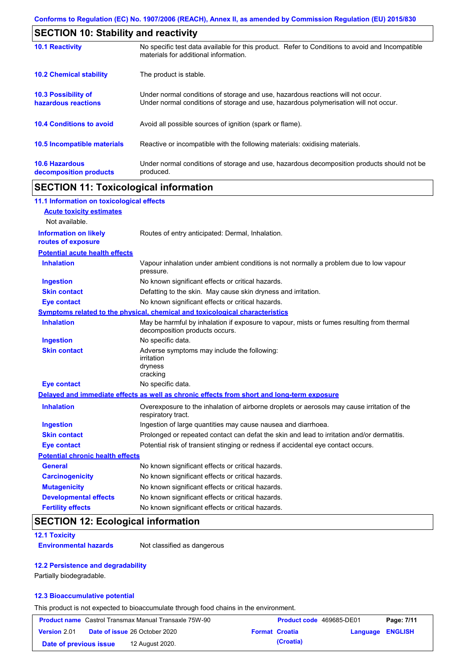| <b>SECTION 10: Stability and reactivity</b>       |                                                                                                                                                                         |  |  |
|---------------------------------------------------|-------------------------------------------------------------------------------------------------------------------------------------------------------------------------|--|--|
| <b>10.1 Reactivity</b>                            | No specific test data available for this product. Refer to Conditions to avoid and Incompatible<br>materials for additional information.                                |  |  |
| <b>10.2 Chemical stability</b>                    | The product is stable.                                                                                                                                                  |  |  |
| <b>10.3 Possibility of</b><br>hazardous reactions | Under normal conditions of storage and use, hazardous reactions will not occur.<br>Under normal conditions of storage and use, hazardous polymerisation will not occur. |  |  |
| <b>10.4 Conditions to avoid</b>                   | Avoid all possible sources of ignition (spark or flame).                                                                                                                |  |  |
| 10.5 Incompatible materials                       | Reactive or incompatible with the following materials: oxidising materials.                                                                                             |  |  |
| <b>10.6 Hazardous</b><br>decomposition products   | Under normal conditions of storage and use, hazardous decomposition products should not be<br>produced.                                                                 |  |  |

# **SECTION 11: Toxicological information**

| 11.1 Information on toxicological effects          |                                                                                                                             |
|----------------------------------------------------|-----------------------------------------------------------------------------------------------------------------------------|
| <b>Acute toxicity estimates</b>                    |                                                                                                                             |
| Not available.                                     |                                                                                                                             |
| <b>Information on likely</b><br>routes of exposure | Routes of entry anticipated: Dermal, Inhalation.                                                                            |
| <b>Potential acute health effects</b>              |                                                                                                                             |
| <b>Inhalation</b>                                  | Vapour inhalation under ambient conditions is not normally a problem due to low vapour<br>pressure.                         |
| <b>Ingestion</b>                                   | No known significant effects or critical hazards.                                                                           |
| <b>Skin contact</b>                                | Defatting to the skin. May cause skin dryness and irritation.                                                               |
| <b>Eye contact</b>                                 | No known significant effects or critical hazards.                                                                           |
|                                                    | Symptoms related to the physical, chemical and toxicological characteristics                                                |
| <b>Inhalation</b>                                  | May be harmful by inhalation if exposure to vapour, mists or fumes resulting from thermal<br>decomposition products occurs. |
| <b>Ingestion</b>                                   | No specific data.                                                                                                           |
| <b>Skin contact</b>                                | Adverse symptoms may include the following:<br>irritation<br>dryness<br>cracking                                            |
| <b>Eye contact</b>                                 | No specific data.                                                                                                           |
|                                                    | Delayed and immediate effects as well as chronic effects from short and long-term exposure                                  |
| <b>Inhalation</b>                                  | Overexposure to the inhalation of airborne droplets or aerosols may cause irritation of the<br>respiratory tract.           |
| <b>Ingestion</b>                                   | Ingestion of large quantities may cause nausea and diarrhoea.                                                               |
| <b>Skin contact</b>                                | Prolonged or repeated contact can defat the skin and lead to irritation and/or dermatitis.                                  |
| <b>Eye contact</b>                                 | Potential risk of transient stinging or redness if accidental eye contact occurs.                                           |
| <b>Potential chronic health effects</b>            |                                                                                                                             |
| <b>General</b>                                     | No known significant effects or critical hazards.                                                                           |
| <b>Carcinogenicity</b>                             | No known significant effects or critical hazards.                                                                           |
| <b>Mutagenicity</b>                                | No known significant effects or critical hazards.                                                                           |
| <b>Developmental effects</b>                       | No known significant effects or critical hazards.                                                                           |
| <b>Fertility effects</b>                           | No known significant effects or critical hazards.                                                                           |

# **SECTION 12: Ecological information**

### **12.1 Toxicity**

**Environmental hazards** Not classified as dangerous

### **12.2 Persistence and degradability**

Partially biodegradable.

### **12.3 Bioaccumulative potential**

This product is not expected to bioaccumulate through food chains in the environment.

|                        | <b>Product name</b> Castrol Transmax Manual Transaxle 75W-90 | Product code 469685-DE01 |                  | Page: 7/11 |
|------------------------|--------------------------------------------------------------|--------------------------|------------------|------------|
| <b>Version 2.01</b>    | <b>Date of issue 26 October 2020</b>                         | <b>Format Croatia</b>    | Language ENGLISH |            |
| Date of previous issue | 12 August 2020.                                              | (Croatia)                |                  |            |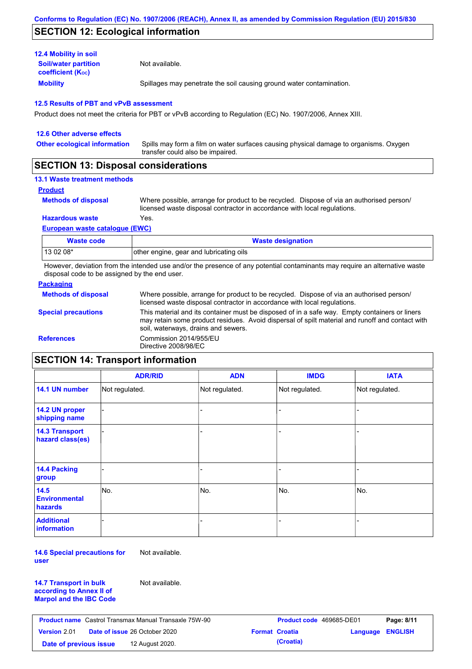## **SECTION 12: Ecological information**

| <b>12.4 Mobility in soil</b>                            |                                                                      |
|---------------------------------------------------------|----------------------------------------------------------------------|
| <b>Soil/water partition</b><br><b>coefficient (Koc)</b> | Not available.                                                       |
| <b>Mobility</b>                                         | Spillages may penetrate the soil causing ground water contamination. |

#### **12.5 Results of PBT and vPvB assessment**

Product does not meet the criteria for PBT or vPvB according to Regulation (EC) No. 1907/2006, Annex XIII.

| 12.6 Other adverse effects          |                                                                                                                           |
|-------------------------------------|---------------------------------------------------------------------------------------------------------------------------|
| <b>Other ecological information</b> | Spills may form a film on water surfaces causing physical damage to organisms. Oxygen<br>transfer could also be impaired. |
|                                     |                                                                                                                           |

### **SECTION 13: Disposal considerations**

### **13.1 Waste treatment methods**

**Product**

```
Methods of disposal
```
Where possible, arrange for product to be recycled. Dispose of via an authorised person/ licensed waste disposal contractor in accordance with local regulations.

**Hazardous waste** Yes.

#### **European waste catalogue (EWC)**

| Waste code | <b>Waste designation</b>                |
|------------|-----------------------------------------|
| 13 02 08*  | other engine, gear and lubricating oils |

However, deviation from the intended use and/or the presence of any potential contaminants may require an alternative waste disposal code to be assigned by the end user.

### **Packaging**

| <b>Methods of disposal</b> | Where possible, arrange for product to be recycled. Dispose of via an authorised person/<br>licensed waste disposal contractor in accordance with local regulations.                                                                    |
|----------------------------|-----------------------------------------------------------------------------------------------------------------------------------------------------------------------------------------------------------------------------------------|
| <b>Special precautions</b> | This material and its container must be disposed of in a safe way. Empty containers or liners<br>may retain some product residues. Avoid dispersal of spilt material and runoff and contact with<br>soil, waterways, drains and sewers. |
| <b>References</b>          | Commission 2014/955/EU<br>Directive 2008/98/EC                                                                                                                                                                                          |

# **SECTION 14: Transport information**

|                                           | <b>ADR/RID</b> | <b>ADN</b>     | <b>IMDG</b>    | <b>IATA</b>    |
|-------------------------------------------|----------------|----------------|----------------|----------------|
| 14.1 UN number                            | Not regulated. | Not regulated. | Not regulated. | Not regulated. |
| 14.2 UN proper<br>shipping name           |                |                | -              |                |
| <b>14.3 Transport</b><br>hazard class(es) |                |                |                |                |
| 14.4 Packing<br>group                     |                |                |                |                |
| 14.5<br><b>Environmental</b><br>hazards   | No.            | No.            | No.            | No.            |
| <b>Additional</b><br><b>information</b>   |                |                |                |                |

**14.6 Special precautions for user** Not available.

**14.7 Transport in bulk according to Annex II of Marpol and the IBC Code** Not available.

| <b>Product name</b> Castrol Transmax Manual Transaxle 75W-90 |  |                                      | <b>Product code</b> 469685-DE01 |                       | Page: 8/11              |  |
|--------------------------------------------------------------|--|--------------------------------------|---------------------------------|-----------------------|-------------------------|--|
| <b>Version 2.01</b>                                          |  | <b>Date of issue 26 October 2020</b> |                                 | <b>Format Croatia</b> | <b>Language ENGLISH</b> |  |
| Date of previous issue                                       |  | 12 August 2020.                      |                                 | (Croatia)             |                         |  |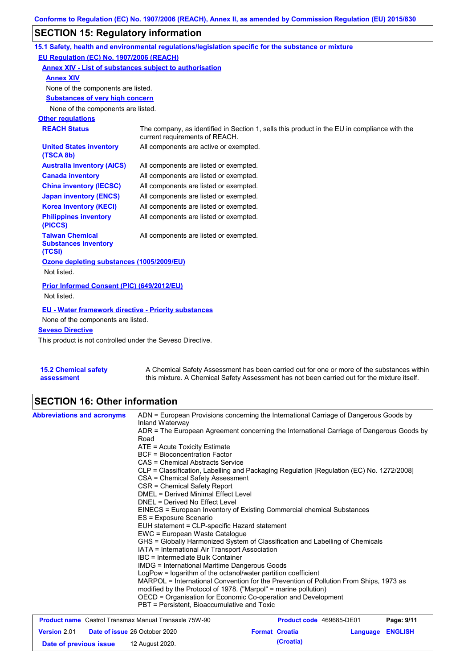# **SECTION 15: Regulatory information**

|                                                                 | 15.1 Safety, health and environmental regulations/legislation specific for the substance or mixture                            |
|-----------------------------------------------------------------|--------------------------------------------------------------------------------------------------------------------------------|
| EU Regulation (EC) No. 1907/2006 (REACH)                        |                                                                                                                                |
| Annex XIV - List of substances subject to authorisation         |                                                                                                                                |
| <b>Annex XIV</b>                                                |                                                                                                                                |
| None of the components are listed.                              |                                                                                                                                |
| <b>Substances of very high concern</b>                          |                                                                                                                                |
| None of the components are listed.                              |                                                                                                                                |
| <b>Other regulations</b>                                        |                                                                                                                                |
| <b>REACH Status</b>                                             | The company, as identified in Section 1, sells this product in the EU in compliance with the<br>current requirements of REACH. |
| <b>United States inventory</b><br>(TSCA 8b)                     | All components are active or exempted.                                                                                         |
| <b>Australia inventory (AICS)</b>                               | All components are listed or exempted.                                                                                         |
| <b>Canada inventory</b>                                         | All components are listed or exempted.                                                                                         |
| <b>China inventory (IECSC)</b>                                  | All components are listed or exempted.                                                                                         |
| <b>Japan inventory (ENCS)</b>                                   | All components are listed or exempted.                                                                                         |
| <b>Korea inventory (KECI)</b>                                   | All components are listed or exempted.                                                                                         |
| <b>Philippines inventory</b><br>(PICCS)                         | All components are listed or exempted.                                                                                         |
| <b>Taiwan Chemical</b><br><b>Substances Inventory</b><br>(TCSI) | All components are listed or exempted.                                                                                         |
| Ozone depleting substances (1005/2009/EU)                       |                                                                                                                                |
| Not listed.                                                     |                                                                                                                                |
| Prior Informed Consent (PIC) (649/2012/EU)<br>Not listed.       |                                                                                                                                |
|                                                                 |                                                                                                                                |
| <b>EU - Water framework directive - Priority substances</b>     |                                                                                                                                |
| None of the components are listed.                              |                                                                                                                                |
| <b>Seveso Directive</b>                                         |                                                                                                                                |

This product is not controlled under the Seveso Directive.

| <b>15.2 Chemical safety</b> | A Chemical Safety Assessment has been carried out for one or more of the substances within  |
|-----------------------------|---------------------------------------------------------------------------------------------|
| assessment                  | this mixture. A Chemical Safety Assessment has not been carried out for the mixture itself. |

# **SECTION 16: Other information**

| <b>Abbreviations and acronyms</b>                            | Inland Waterway                                                                                                                                                                                                                                                                                        | ADN = European Provisions concerning the International Carriage of Dangerous Goods by    |          |                |  |  |
|--------------------------------------------------------------|--------------------------------------------------------------------------------------------------------------------------------------------------------------------------------------------------------------------------------------------------------------------------------------------------------|------------------------------------------------------------------------------------------|----------|----------------|--|--|
|                                                              | Road                                                                                                                                                                                                                                                                                                   | ADR = The European Agreement concerning the International Carriage of Dangerous Goods by |          |                |  |  |
|                                                              | ATE = Acute Toxicity Estimate                                                                                                                                                                                                                                                                          |                                                                                          |          |                |  |  |
|                                                              | BCF = Bioconcentration Factor                                                                                                                                                                                                                                                                          |                                                                                          |          |                |  |  |
|                                                              | CAS = Chemical Abstracts Service                                                                                                                                                                                                                                                                       |                                                                                          |          |                |  |  |
|                                                              |                                                                                                                                                                                                                                                                                                        | CLP = Classification, Labelling and Packaging Regulation [Regulation (EC) No. 1272/2008] |          |                |  |  |
|                                                              | CSA = Chemical Safety Assessment                                                                                                                                                                                                                                                                       |                                                                                          |          |                |  |  |
|                                                              | CSR = Chemical Safety Report                                                                                                                                                                                                                                                                           |                                                                                          |          |                |  |  |
|                                                              | <b>DMEL = Derived Minimal Effect Level</b>                                                                                                                                                                                                                                                             |                                                                                          |          |                |  |  |
|                                                              | DNEL = Derived No Effect Level<br>EINECS = European Inventory of Existing Commercial chemical Substances<br>ES = Exposure Scenario<br>EUH statement = CLP-specific Hazard statement<br>EWC = European Waste Catalogue<br>GHS = Globally Harmonized System of Classification and Labelling of Chemicals |                                                                                          |          |                |  |  |
|                                                              |                                                                                                                                                                                                                                                                                                        |                                                                                          |          |                |  |  |
|                                                              |                                                                                                                                                                                                                                                                                                        |                                                                                          |          |                |  |  |
|                                                              |                                                                                                                                                                                                                                                                                                        |                                                                                          |          |                |  |  |
|                                                              |                                                                                                                                                                                                                                                                                                        |                                                                                          |          |                |  |  |
|                                                              |                                                                                                                                                                                                                                                                                                        |                                                                                          |          |                |  |  |
|                                                              | IATA = International Air Transport Association                                                                                                                                                                                                                                                         |                                                                                          |          |                |  |  |
|                                                              | IBC = Intermediate Bulk Container                                                                                                                                                                                                                                                                      |                                                                                          |          |                |  |  |
|                                                              | <b>IMDG = International Maritime Dangerous Goods</b>                                                                                                                                                                                                                                                   |                                                                                          |          |                |  |  |
|                                                              | LogPow = logarithm of the octanol/water partition coefficient<br>MARPOL = International Convention for the Prevention of Pollution From Ships, 1973 as                                                                                                                                                 |                                                                                          |          |                |  |  |
|                                                              |                                                                                                                                                                                                                                                                                                        |                                                                                          |          |                |  |  |
|                                                              | modified by the Protocol of 1978. ("Marpol" = marine pollution)                                                                                                                                                                                                                                        |                                                                                          |          |                |  |  |
|                                                              |                                                                                                                                                                                                                                                                                                        | OECD = Organisation for Economic Co-operation and Development                            |          |                |  |  |
|                                                              | PBT = Persistent, Bioaccumulative and Toxic                                                                                                                                                                                                                                                            |                                                                                          |          |                |  |  |
| <b>Product name</b> Castrol Transmax Manual Transaxle 75W-90 |                                                                                                                                                                                                                                                                                                        | Product code 469685-DE01                                                                 |          | Page: 9/11     |  |  |
| <b>Version 2.01</b>                                          | Date of issue 26 October 2020                                                                                                                                                                                                                                                                          | <b>Format Croatia</b>                                                                    | Language | <b>ENGLISH</b> |  |  |

**Date of previous issue (Croatia)** 12 August 2020.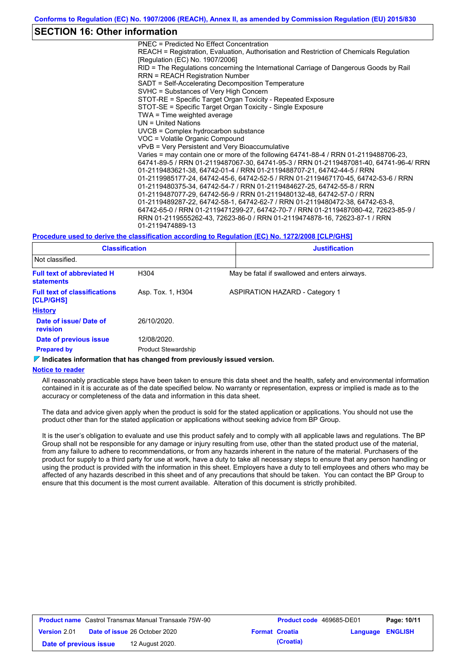### **SECTION 16: Other information**

PNEC = Predicted No Effect Concentration REACH = Registration, Evaluation, Authorisation and Restriction of Chemicals Regulation [Regulation (EC) No. 1907/2006] RID = The Regulations concerning the International Carriage of Dangerous Goods by Rail RRN = REACH Registration Number SADT = Self-Accelerating Decomposition Temperature SVHC = Substances of Very High Concern STOT-RE = Specific Target Organ Toxicity - Repeated Exposure STOT-SE = Specific Target Organ Toxicity - Single Exposure TWA = Time weighted average UN = United Nations UVCB = Complex hydrocarbon substance VOC = Volatile Organic Compound vPvB = Very Persistent and Very Bioaccumulative Varies = may contain one or more of the following 64741-88-4 / RRN 01-2119488706-23, 64741-89-5 / RRN 01-2119487067-30, 64741-95-3 / RRN 01-2119487081-40, 64741-96-4/ RRN 01-2119483621-38, 64742-01-4 / RRN 01-2119488707-21, 64742-44-5 / RRN 01-2119985177-24, 64742-45-6, 64742-52-5 / RRN 01-2119467170-45, 64742-53-6 / RRN 01-2119480375-34, 64742-54-7 / RRN 01-2119484627-25, 64742-55-8 / RRN 01-2119487077-29, 64742-56-9 / RRN 01-2119480132-48, 64742-57-0 / RRN 01-2119489287-22, 64742-58-1, 64742-62-7 / RRN 01-2119480472-38, 64742-63-8, 64742-65-0 / RRN 01-2119471299-27, 64742-70-7 / RRN 01-2119487080-42, 72623-85-9 / RRN 01-2119555262-43, 72623-86-0 / RRN 01-2119474878-16, 72623-87-1 / RRN 01-2119474889-13

#### **Procedure used to derive the classification according to Regulation (EC) No. 1272/2008 [CLP/GHS]**

| <b>Classification</b>                                  |                            | <b>Justification</b> |                                               |  |
|--------------------------------------------------------|----------------------------|----------------------|-----------------------------------------------|--|
| Not classified.                                        |                            |                      |                                               |  |
| <b>Full text of abbreviated H</b><br><b>statements</b> | H304                       |                      | May be fatal if swallowed and enters airways. |  |
| <b>Full text of classifications</b><br>[CLP/GHS]       | Asp. Tox. 1, H304          |                      | <b>ASPIRATION HAZARD - Category 1</b>         |  |
| <b>History</b>                                         |                            |                      |                                               |  |
| Date of issue/ Date of<br><b>revision</b>              | 26/10/2020.                |                      |                                               |  |
| Date of previous issue                                 | 12/08/2020.                |                      |                                               |  |
| <b>Prepared by</b>                                     | <b>Product Stewardship</b> |                      |                                               |  |

#### **Indicates information that has changed from previously issued version.**

#### **Notice to reader**

All reasonably practicable steps have been taken to ensure this data sheet and the health, safety and environmental information contained in it is accurate as of the date specified below. No warranty or representation, express or implied is made as to the accuracy or completeness of the data and information in this data sheet.

The data and advice given apply when the product is sold for the stated application or applications. You should not use the product other than for the stated application or applications without seeking advice from BP Group.

It is the user's obligation to evaluate and use this product safely and to comply with all applicable laws and regulations. The BP Group shall not be responsible for any damage or injury resulting from use, other than the stated product use of the material, from any failure to adhere to recommendations, or from any hazards inherent in the nature of the material. Purchasers of the product for supply to a third party for use at work, have a duty to take all necessary steps to ensure that any person handling or using the product is provided with the information in this sheet. Employers have a duty to tell employees and others who may be affected of any hazards described in this sheet and of any precautions that should be taken. You can contact the BP Group to ensure that this document is the most current available. Alteration of this document is strictly prohibited.

| <b>Product name</b> Castrol Transmax Manual Transaxle 75W-90 |  | <b>Product code</b> 469685-DE01      |  | Page: 10/11           |                         |  |
|--------------------------------------------------------------|--|--------------------------------------|--|-----------------------|-------------------------|--|
| <b>Version 2.01</b>                                          |  | <b>Date of issue 26 October 2020</b> |  | <b>Format Croatia</b> | <b>Language ENGLISH</b> |  |
| Date of previous issue                                       |  | 12 August 2020.                      |  | (Croatia)             |                         |  |